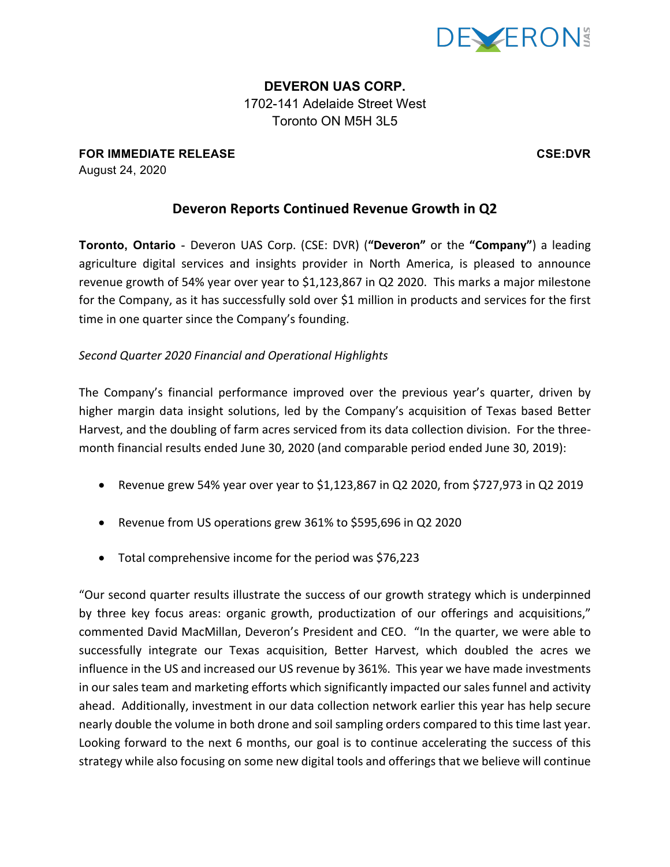

**DEVERON UAS CORP.** 1702-141 Adelaide Street West Toronto ON M5H 3L5

**FOR IMMEDIATE RELEASE CSE:DVR** August 24, 2020

# **Deveron Reports Continued Revenue Growth in Q2**

**Toronto, Ontario** - Deveron UAS Corp. (CSE: DVR) ("Deveron" or the "Company") a leading agriculture digital services and insights provider in North America, is pleased to announce revenue growth of 54% year over year to \$1,123,867 in Q2 2020. This marks a major milestone for the Company, as it has successfully sold over \$1 million in products and services for the first time in one quarter since the Company's founding.

## *Second Quarter 2020 Financial and Operational Highlights*

The Company's financial performance improved over the previous year's quarter, driven by higher margin data insight solutions, led by the Company's acquisition of Texas based Better Harvest, and the doubling of farm acres serviced from its data collection division. For the threemonth financial results ended June 30, 2020 (and comparable period ended June 30, 2019):

- Revenue grew 54% year over year to \$1,123,867 in Q2 2020, from \$727,973 in Q2 2019
- Revenue from US operations grew 361% to \$595,696 in Q2 2020
- Total comprehensive income for the period was  $$76,223$

"Our second quarter results illustrate the success of our growth strategy which is underpinned by three key focus areas: organic growth, productization of our offerings and acquisitions," commented David MacMillan, Deveron's President and CEO. "In the quarter, we were able to successfully integrate our Texas acquisition, Better Harvest, which doubled the acres we influence in the US and increased our US revenue by 361%. This year we have made investments in our sales team and marketing efforts which significantly impacted our sales funnel and activity ahead. Additionally, investment in our data collection network earlier this year has help secure nearly double the volume in both drone and soil sampling orders compared to this time last year. Looking forward to the next 6 months, our goal is to continue accelerating the success of this strategy while also focusing on some new digital tools and offerings that we believe will continue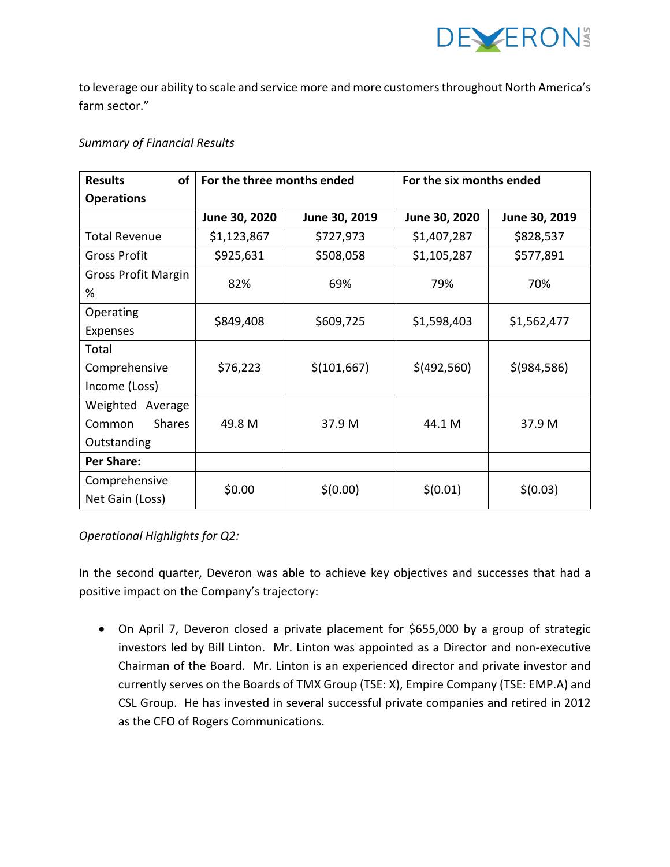

to leverage our ability to scale and service more and more customers throughout North America's farm sector."

### *Summary of Financial Results*

| <b>of</b><br><b>Results</b> | For the three months ended |               | For the six months ended |               |
|-----------------------------|----------------------------|---------------|--------------------------|---------------|
| <b>Operations</b>           |                            |               |                          |               |
|                             | June 30, 2020              | June 30, 2019 | June 30, 2020            | June 30, 2019 |
| <b>Total Revenue</b>        | \$1,123,867                | \$727,973     | \$1,407,287              | \$828,537     |
| <b>Gross Profit</b>         | \$925,631                  | \$508,058     | \$1,105,287              | \$577,891     |
| <b>Gross Profit Margin</b>  | 82%                        | 69%           | 79%                      | 70%           |
| %                           |                            |               |                          |               |
| Operating                   | \$849,408                  | \$609,725     | \$1,598,403              | \$1,562,477   |
| <b>Expenses</b>             |                            |               |                          |               |
| Total                       |                            |               |                          |               |
| Comprehensive               | \$76,223                   | \$(101,667)   | \$(492,560)              | \$ (984, 586) |
| Income (Loss)               |                            |               |                          |               |
| Weighted Average            |                            |               |                          |               |
| <b>Shares</b><br>Common     | 49.8 M                     | 37.9 M        | 44.1 M                   | 37.9 M        |
| Outstanding                 |                            |               |                          |               |
| <b>Per Share:</b>           |                            |               |                          |               |
| Comprehensive               | \$0.00                     | \$(0.00)      | \$(0.01)                 | \$(0.03)      |
| Net Gain (Loss)             |                            |               |                          |               |

# *Operational Highlights for Q2:*

In the second quarter, Deveron was able to achieve key objectives and successes that had a positive impact on the Company's trajectory:

• On April 7, Deveron closed a private placement for \$655,000 by a group of strategic investors led by Bill Linton. Mr. Linton was appointed as a Director and non-executive Chairman of the Board. Mr. Linton is an experienced director and private investor and currently serves on the Boards of TMX Group (TSE: X), Empire Company (TSE: EMP.A) and CSL Group. He has invested in several successful private companies and retired in 2012 as the CFO of Rogers Communications.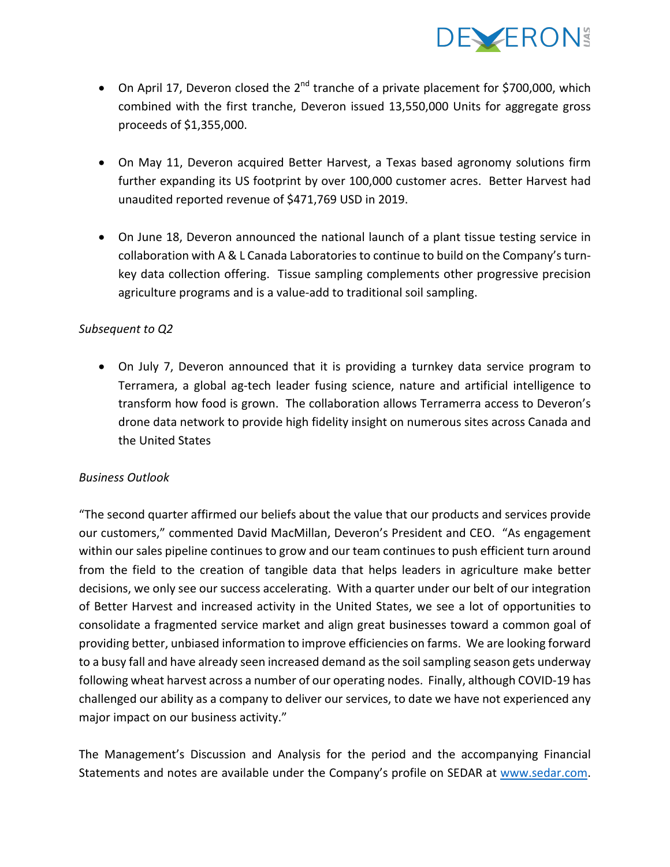

- On April 17, Deveron closed the  $2^{nd}$  tranche of a private placement for \$700,000, which combined with the first tranche, Deveron issued 13,550,000 Units for aggregate gross proceeds of \$1,355,000.
- On May 11, Deveron acquired Better Harvest, a Texas based agronomy solutions firm further expanding its US footprint by over 100,000 customer acres. Better Harvest had unaudited reported revenue of \$471,769 USD in 2019.
- On June 18, Deveron announced the national launch of a plant tissue testing service in collaboration with A & L Canada Laboratories to continue to build on the Company's turnkey data collection offering. Tissue sampling complements other progressive precision agriculture programs and is a value-add to traditional soil sampling.

## Subsequent to Q2

• On July 7, Deveron announced that it is providing a turnkey data service program to Terramera, a global ag-tech leader fusing science, nature and artificial intelligence to transform how food is grown. The collaboration allows Terramerra access to Deveron's drone data network to provide high fidelity insight on numerous sites across Canada and the United States

### *Business Outlook*

"The second quarter affirmed our beliefs about the value that our products and services provide our customers," commented David MacMillan, Deveron's President and CEO. "As engagement within our sales pipeline continues to grow and our team continues to push efficient turn around from the field to the creation of tangible data that helps leaders in agriculture make better decisions, we only see our success accelerating. With a quarter under our belt of our integration of Better Harvest and increased activity in the United States, we see a lot of opportunities to consolidate a fragmented service market and align great businesses toward a common goal of providing better, unbiased information to improve efficiencies on farms. We are looking forward to a busy fall and have already seen increased demand as the soil sampling season gets underway following wheat harvest across a number of our operating nodes. Finally, although COVID-19 has challenged our ability as a company to deliver our services, to date we have not experienced any major impact on our business activity."

The Management's Discussion and Analysis for the period and the accompanying Financial Statements and notes are available under the Company's profile on SEDAR at www.sedar.com.